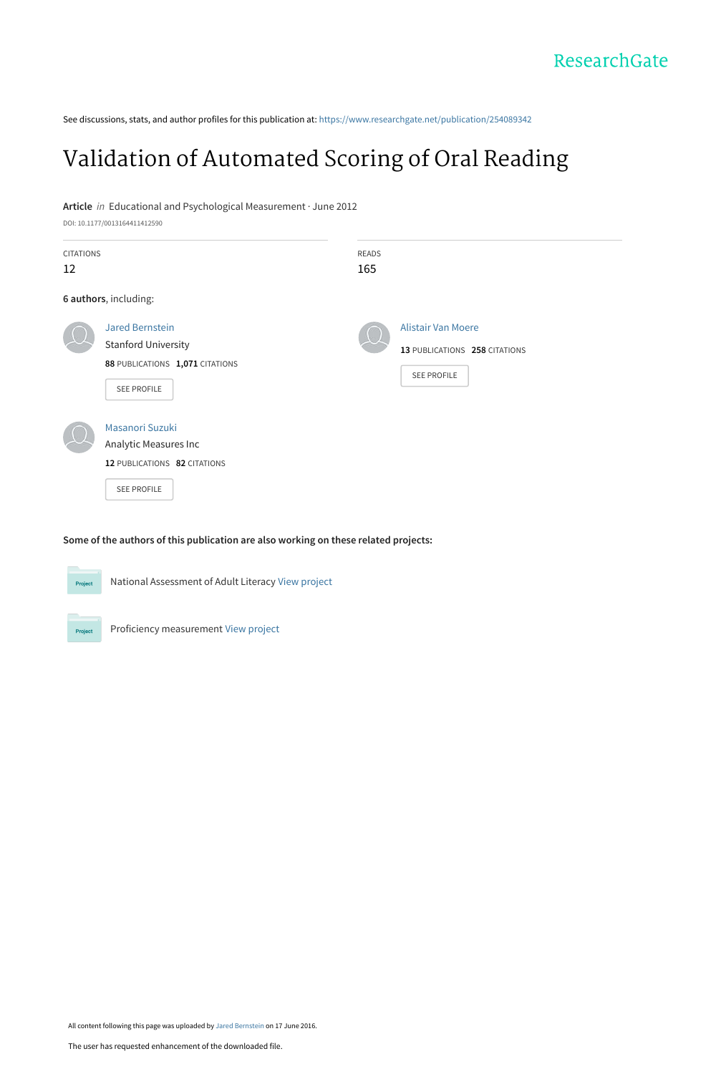See discussions, stats, and author profiles for this publication at: [https://www.researchgate.net/publication/254089342](https://www.researchgate.net/publication/254089342_Validation_of_Automated_Scoring_of_Oral_Reading?enrichId=rgreq-f0dfeb7e242b7c7eafd2baa859d2928b-XXX&enrichSource=Y292ZXJQYWdlOzI1NDA4OTM0MjtBUzozNzQxMTAzMjU2MjQ4MzNAMTQ2NjIwNjI2MTAwMA%3D%3D&el=1_x_2&_esc=publicationCoverPdf)

# [Validation of Automated Scoring of Oral Reading](https://www.researchgate.net/publication/254089342_Validation_of_Automated_Scoring_of_Oral_Reading?enrichId=rgreq-f0dfeb7e242b7c7eafd2baa859d2928b-XXX&enrichSource=Y292ZXJQYWdlOzI1NDA4OTM0MjtBUzozNzQxMTAzMjU2MjQ4MzNAMTQ2NjIwNjI2MTAwMA%3D%3D&el=1_x_3&_esc=publicationCoverPdf)

#### **Article** in Educational and Psychological Measurement · June 2012

DOI: 10.1177/0013164411412590

| <b>CITATIONS</b><br>12 |                                                                                                        | READS<br>165 |                                                                                  |
|------------------------|--------------------------------------------------------------------------------------------------------|--------------|----------------------------------------------------------------------------------|
|                        | 6 authors, including:                                                                                  |              |                                                                                  |
|                        | <b>Jared Bernstein</b><br><b>Stanford University</b><br>88 PUBLICATIONS 1,071 CITATIONS<br>SEE PROFILE |              | <b>Alistair Van Moere</b><br>13 PUBLICATIONS 258 CITATIONS<br><b>SEE PROFILE</b> |
|                        | Masanori Suzuki<br>Analytic Measures Inc<br>12 PUBLICATIONS 82 CITATIONS<br>SEE PROFILE                |              |                                                                                  |

#### **Some of the authors of this publication are also working on these related projects:**



National Assessment of Adult Literacy [View project](https://www.researchgate.net/project/National-Assessment-of-Adult-Literacy?enrichId=rgreq-f0dfeb7e242b7c7eafd2baa859d2928b-XXX&enrichSource=Y292ZXJQYWdlOzI1NDA4OTM0MjtBUzozNzQxMTAzMjU2MjQ4MzNAMTQ2NjIwNjI2MTAwMA%3D%3D&el=1_x_9&_esc=publicationCoverPdf)



All content following this page was uploaded by [Jared Bernstein](https://www.researchgate.net/profile/Jared_Bernstein?enrichId=rgreq-f0dfeb7e242b7c7eafd2baa859d2928b-XXX&enrichSource=Y292ZXJQYWdlOzI1NDA4OTM0MjtBUzozNzQxMTAzMjU2MjQ4MzNAMTQ2NjIwNjI2MTAwMA%3D%3D&el=1_x_10&_esc=publicationCoverPdf) on 17 June 2016.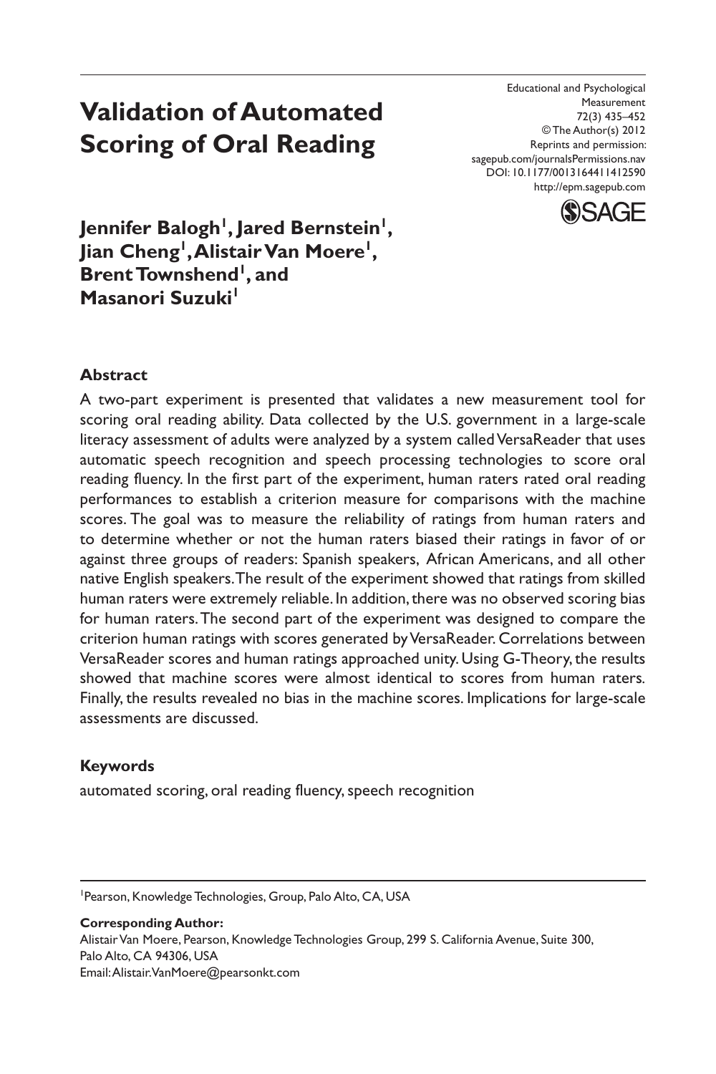# **Validation of Automated Scoring of Oral Reading**

Educational and Psychological Measurement 72(3) 435–452 © The Author(s) 2012 Reprints and permission: sagepub.com/journalsPermissions.nav DOI: 10.1177/0013164411412590 http://epm.sagepub.com



**J**ennifer Balogh<sup>I</sup>, Jared Bernstein<sup>I</sup>, **Jian Cheng1 , Alistair Van Moere1 , Brent Townshend<sup>1</sup>, and Masanori Suzuki<sup>1</sup>** 

## **Abstract**

A two-part experiment is presented that validates a new measurement tool for scoring oral reading ability. Data collected by the U.S. government in a large-scale literacy assessment of adults were analyzed by a system called VersaReader that uses automatic speech recognition and speech processing technologies to score oral reading fluency. In the first part of the experiment, human raters rated oral reading performances to establish a criterion measure for comparisons with the machine scores. The goal was to measure the reliability of ratings from human raters and to determine whether or not the human raters biased their ratings in favor of or against three groups of readers: Spanish speakers, African Americans, and all other native English speakers. The result of the experiment showed that ratings from skilled human raters were extremely reliable. In addition, there was no observed scoring bias for human raters. The second part of the experiment was designed to compare the criterion human ratings with scores generated by VersaReader. Correlations between VersaReader scores and human ratings approached unity. Using G-Theory, the results showed that machine scores were almost identical to scores from human raters*.* Finally, the results revealed no bias in the machine scores. Implications for large-scale assessments are discussed.

## **Keywords**

automated scoring, oral reading fluency, speech recognition

**Corresponding Author:** Alistair Van Moere, Pearson, Knowledge Technologies Group, 299 S. California Avenue, Suite 300, Palo Alto, CA 94306, USA Email: Alistair.VanMoere@pearsonkt.com

<sup>&</sup>lt;sup>1</sup> Pearson, Knowledge Technologies, Group, Palo Alto, CA, USA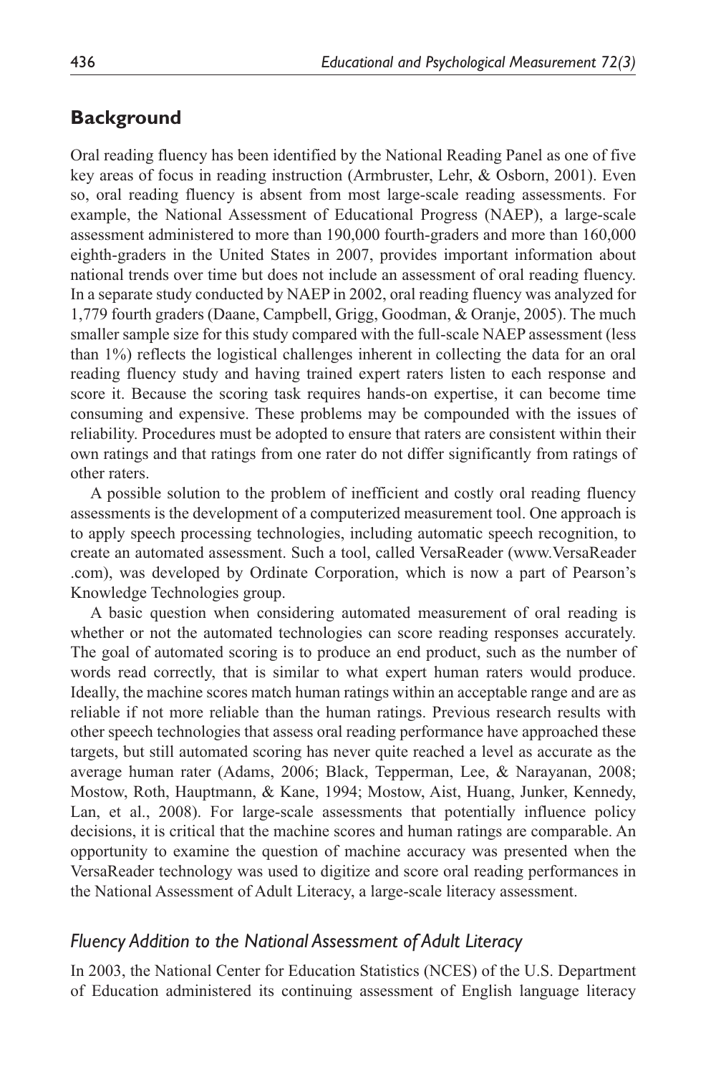## **Background**

Oral reading fluency has been identified by the National Reading Panel as one of five key areas of focus in reading instruction (Armbruster, Lehr, & Osborn, 2001). Even so, oral reading fluency is absent from most large-scale reading assessments. For example, the National Assessment of Educational Progress (NAEP), a large-scale assessment administered to more than 190,000 fourth-graders and more than 160,000 eighth-graders in the United States in 2007, provides important information about national trends over time but does not include an assessment of oral reading fluency. In a separate study conducted by NAEP in 2002, oral reading fluency was analyzed for 1,779 fourth graders (Daane, Campbell, Grigg, Goodman, & Oranje, 2005). The much smaller sample size for this study compared with the full-scale NAEP assessment (less than 1%) reflects the logistical challenges inherent in collecting the data for an oral reading fluency study and having trained expert raters listen to each response and score it. Because the scoring task requires hands-on expertise, it can become time consuming and expensive. These problems may be compounded with the issues of reliability. Procedures must be adopted to ensure that raters are consistent within their own ratings and that ratings from one rater do not differ significantly from ratings of other raters.

A possible solution to the problem of inefficient and costly oral reading fluency assessments is the development of a computerized measurement tool. One approach is to apply speech processing technologies, including automatic speech recognition, to create an automated assessment. Such a tool, called VersaReader (www.VersaReader .com), was developed by Ordinate Corporation, which is now a part of Pearson's Knowledge Technologies group.

A basic question when considering automated measurement of oral reading is whether or not the automated technologies can score reading responses accurately. The goal of automated scoring is to produce an end product, such as the number of words read correctly, that is similar to what expert human raters would produce. Ideally, the machine scores match human ratings within an acceptable range and are as reliable if not more reliable than the human ratings. Previous research results with other speech technologies that assess oral reading performance have approached these targets, but still automated scoring has never quite reached a level as accurate as the average human rater (Adams, 2006; Black, Tepperman, Lee, & Narayanan, 2008; Mostow, Roth, Hauptmann, & Kane, 1994; Mostow, Aist, Huang, Junker, Kennedy, Lan, et al., 2008). For large-scale assessments that potentially influence policy decisions, it is critical that the machine scores and human ratings are comparable. An opportunity to examine the question of machine accuracy was presented when the VersaReader technology was used to digitize and score oral reading performances in the National Assessment of Adult Literacy, a large-scale literacy assessment.

#### *Fluency Addition to the National Assessment of Adult Literacy*

In 2003, the National Center for Education Statistics (NCES) of the U.S. Department of Education administered its continuing assessment of English language literacy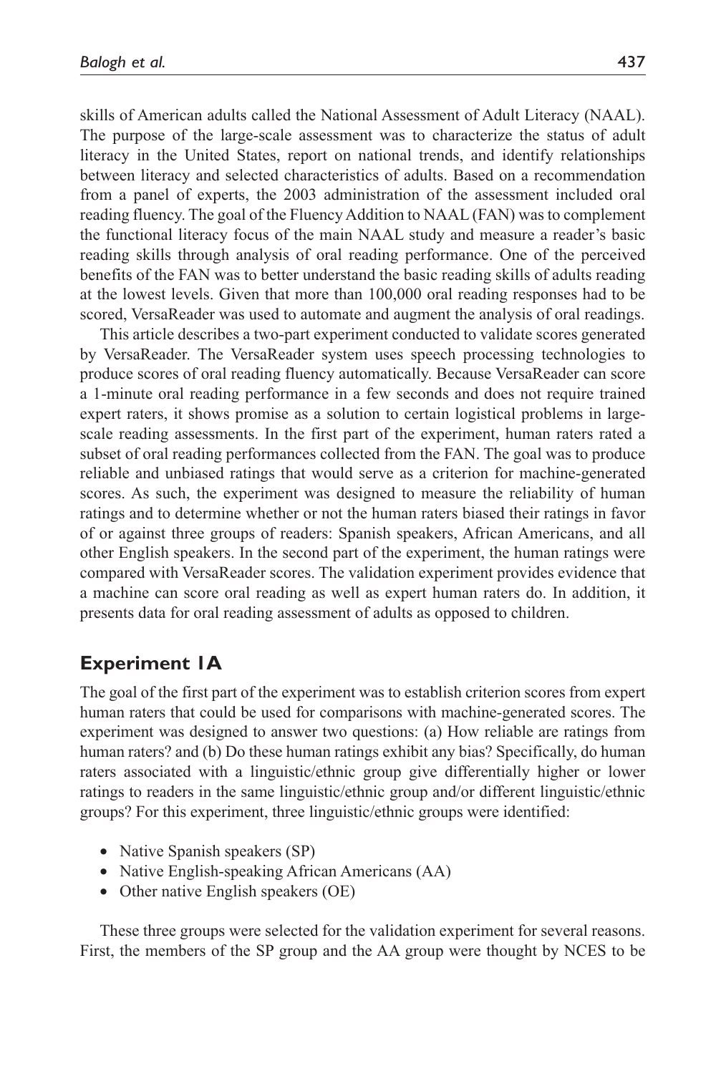skills of American adults called the National Assessment of Adult Literacy (NAAL). The purpose of the large-scale assessment was to characterize the status of adult literacy in the United States, report on national trends, and identify relationships between literacy and selected characteristics of adults. Based on a recommendation from a panel of experts, the 2003 administration of the assessment included oral reading fluency. The goal of the Fluency Addition to NAAL (FAN) was to complement the functional literacy focus of the main NAAL study and measure a reader's basic reading skills through analysis of oral reading performance. One of the perceived benefits of the FAN was to better understand the basic reading skills of adults reading at the lowest levels. Given that more than 100,000 oral reading responses had to be scored, VersaReader was used to automate and augment the analysis of oral readings.

This article describes a two-part experiment conducted to validate scores generated by VersaReader. The VersaReader system uses speech processing technologies to produce scores of oral reading fluency automatically. Because VersaReader can score a 1-minute oral reading performance in a few seconds and does not require trained expert raters, it shows promise as a solution to certain logistical problems in largescale reading assessments. In the first part of the experiment, human raters rated a subset of oral reading performances collected from the FAN. The goal was to produce reliable and unbiased ratings that would serve as a criterion for machine-generated scores. As such, the experiment was designed to measure the reliability of human ratings and to determine whether or not the human raters biased their ratings in favor of or against three groups of readers: Spanish speakers, African Americans, and all other English speakers. In the second part of the experiment, the human ratings were compared with VersaReader scores. The validation experiment provides evidence that a machine can score oral reading as well as expert human raters do. In addition, it presents data for oral reading assessment of adults as opposed to children.

## **Experiment 1A**

The goal of the first part of the experiment was to establish criterion scores from expert human raters that could be used for comparisons with machine-generated scores. The experiment was designed to answer two questions: (a) How reliable are ratings from human raters? and (b) Do these human ratings exhibit any bias? Specifically, do human raters associated with a linguistic/ethnic group give differentially higher or lower ratings to readers in the same linguistic/ethnic group and/or different linguistic/ethnic groups? For this experiment, three linguistic/ethnic groups were identified:

- Native Spanish speakers (SP)
- Native English-speaking African Americans (AA)
- Other native English speakers (OE)

These three groups were selected for the validation experiment for several reasons. First, the members of the SP group and the AA group were thought by NCES to be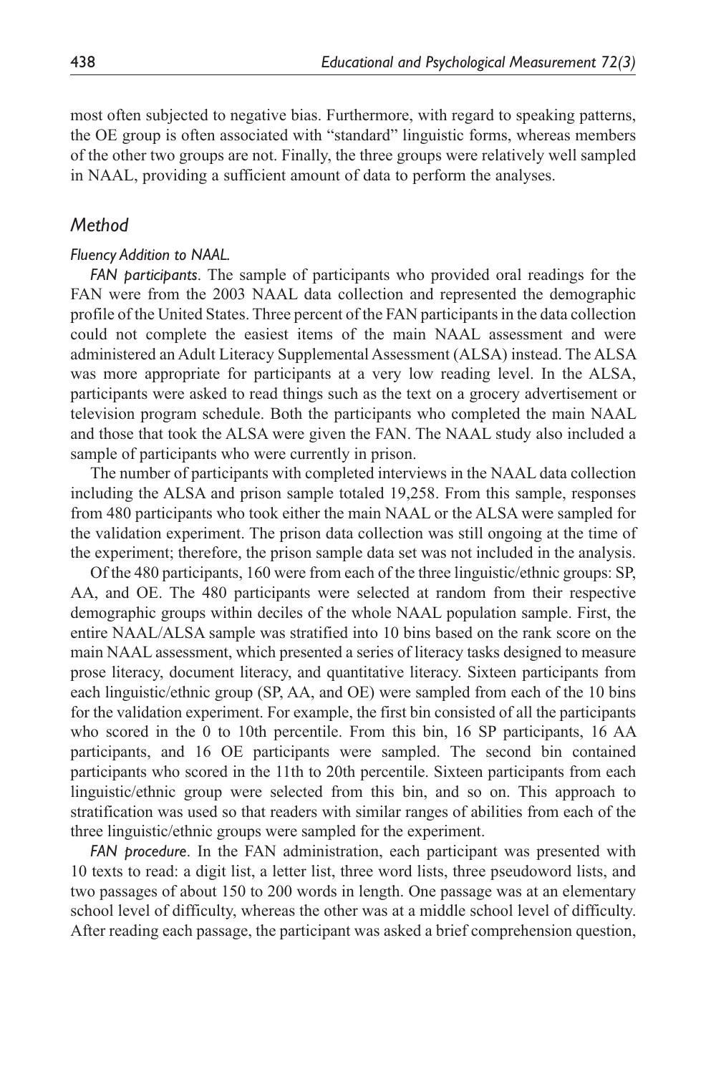most often subjected to negative bias. Furthermore, with regard to speaking patterns, the OE group is often associated with "standard" linguistic forms, whereas members of the other two groups are not. Finally, the three groups were relatively well sampled in NAAL, providing a sufficient amount of data to perform the analyses.

#### *Method*

#### *Fluency Addition to NAAL.*

*FAN participants*. The sample of participants who provided oral readings for the FAN were from the 2003 NAAL data collection and represented the demographic profile of the United States. Three percent of the FAN participants in the data collection could not complete the easiest items of the main NAAL assessment and were administered an Adult Literacy Supplemental Assessment (ALSA) instead. The ALSA was more appropriate for participants at a very low reading level. In the ALSA, participants were asked to read things such as the text on a grocery advertisement or television program schedule. Both the participants who completed the main NAAL and those that took the ALSA were given the FAN. The NAAL study also included a sample of participants who were currently in prison.

The number of participants with completed interviews in the NAAL data collection including the ALSA and prison sample totaled 19,258. From this sample, responses from 480 participants who took either the main NAAL or the ALSA were sampled for the validation experiment. The prison data collection was still ongoing at the time of the experiment; therefore, the prison sample data set was not included in the analysis.

Of the 480 participants, 160 were from each of the three linguistic/ethnic groups: SP, AA, and OE. The 480 participants were selected at random from their respective demographic groups within deciles of the whole NAAL population sample. First, the entire NAAL/ALSA sample was stratified into 10 bins based on the rank score on the main NAAL assessment, which presented a series of literacy tasks designed to measure prose literacy, document literacy, and quantitative literacy. Sixteen participants from each linguistic/ethnic group (SP, AA, and OE) were sampled from each of the 10 bins for the validation experiment. For example, the first bin consisted of all the participants who scored in the 0 to 10th percentile. From this bin, 16 SP participants, 16 AA participants, and 16 OE participants were sampled. The second bin contained participants who scored in the 11th to 20th percentile. Sixteen participants from each linguistic/ethnic group were selected from this bin, and so on. This approach to stratification was used so that readers with similar ranges of abilities from each of the three linguistic/ethnic groups were sampled for the experiment.

*FAN procedure*. In the FAN administration, each participant was presented with 10 texts to read: a digit list, a letter list, three word lists, three pseudoword lists, and two passages of about 150 to 200 words in length. One passage was at an elementary school level of difficulty, whereas the other was at a middle school level of difficulty. After reading each passage, the participant was asked a brief comprehension question,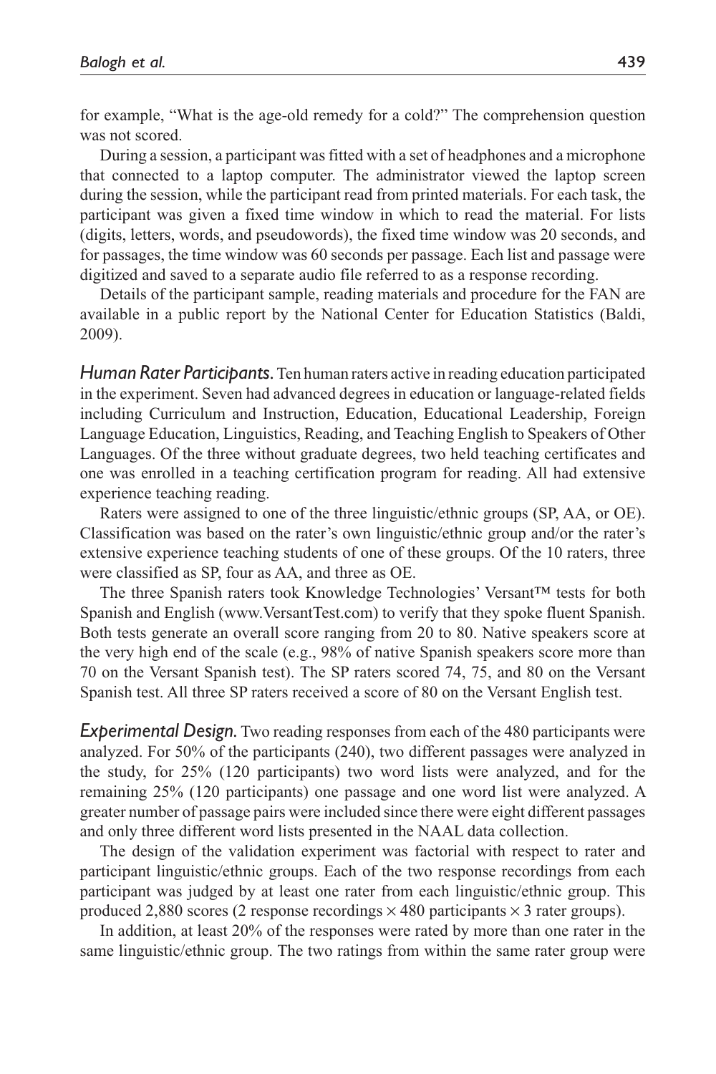for example, "What is the age-old remedy for a cold?" The comprehension question was not scored.

During a session, a participant was fitted with a set of headphones and a microphone that connected to a laptop computer. The administrator viewed the laptop screen during the session, while the participant read from printed materials. For each task, the participant was given a fixed time window in which to read the material. For lists (digits, letters, words, and pseudowords), the fixed time window was 20 seconds, and for passages, the time window was 60 seconds per passage. Each list and passage were digitized and saved to a separate audio file referred to as a response recording.

Details of the participant sample, reading materials and procedure for the FAN are available in a public report by the National Center for Education Statistics (Baldi, 2009).

*Human Rater Participants.* Ten human raters active in reading education participated in the experiment. Seven had advanced degrees in education or language-related fields including Curriculum and Instruction, Education, Educational Leadership, Foreign Language Education, Linguistics, Reading, and Teaching English to Speakers of Other Languages. Of the three without graduate degrees, two held teaching certificates and one was enrolled in a teaching certification program for reading. All had extensive experience teaching reading.

Raters were assigned to one of the three linguistic/ethnic groups (SP, AA, or OE). Classification was based on the rater's own linguistic/ethnic group and/or the rater's extensive experience teaching students of one of these groups. Of the 10 raters, three were classified as SP, four as AA, and three as OE.

The three Spanish raters took Knowledge Technologies' Versant™ tests for both Spanish and English (www.VersantTest.com) to verify that they spoke fluent Spanish. Both tests generate an overall score ranging from 20 to 80. Native speakers score at the very high end of the scale (e.g., 98% of native Spanish speakers score more than 70 on the Versant Spanish test). The SP raters scored 74, 75, and 80 on the Versant Spanish test. All three SP raters received a score of 80 on the Versant English test.

*Experimental Design.* Two reading responses from each of the 480 participants were analyzed. For 50% of the participants (240), two different passages were analyzed in the study, for 25% (120 participants) two word lists were analyzed, and for the remaining 25% (120 participants) one passage and one word list were analyzed. A greater number of passage pairs were included since there were eight different passages and only three different word lists presented in the NAAL data collection.

The design of the validation experiment was factorial with respect to rater and participant linguistic/ethnic groups. Each of the two response recordings from each participant was judged by at least one rater from each linguistic/ethnic group. This produced 2,880 scores (2 response recordings  $\times$  480 participants  $\times$  3 rater groups).

In addition, at least 20% of the responses were rated by more than one rater in the same linguistic/ethnic group. The two ratings from within the same rater group were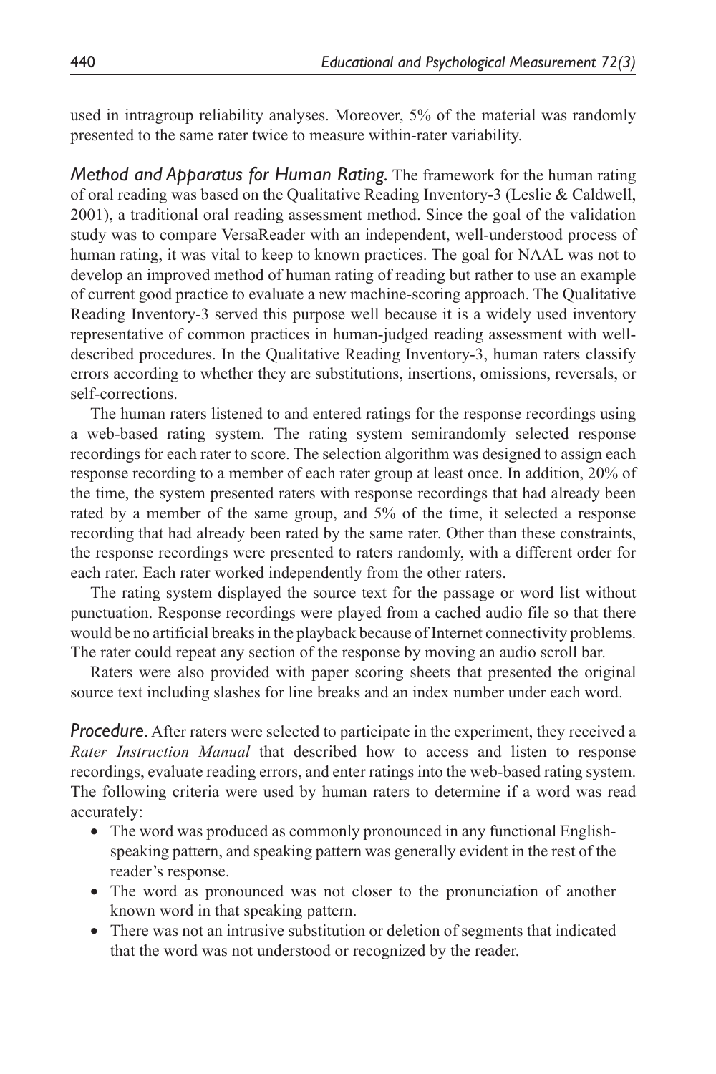used in intragroup reliability analyses. Moreover, 5% of the material was randomly presented to the same rater twice to measure within-rater variability.

*Method and Apparatus for Human Rating.* The framework for the human rating of oral reading was based on the Qualitative Reading Inventory-3 (Leslie & Caldwell, 2001), a traditional oral reading assessment method. Since the goal of the validation study was to compare VersaReader with an independent, well-understood process of human rating, it was vital to keep to known practices. The goal for NAAL was not to develop an improved method of human rating of reading but rather to use an example of current good practice to evaluate a new machine-scoring approach. The Qualitative Reading Inventory-3 served this purpose well because it is a widely used inventory representative of common practices in human-judged reading assessment with welldescribed procedures. In the Qualitative Reading Inventory-3, human raters classify errors according to whether they are substitutions, insertions, omissions, reversals, or self-corrections.

The human raters listened to and entered ratings for the response recordings using a web-based rating system. The rating system semirandomly selected response recordings for each rater to score. The selection algorithm was designed to assign each response recording to a member of each rater group at least once. In addition, 20% of the time, the system presented raters with response recordings that had already been rated by a member of the same group, and 5% of the time, it selected a response recording that had already been rated by the same rater. Other than these constraints, the response recordings were presented to raters randomly, with a different order for each rater. Each rater worked independently from the other raters.

The rating system displayed the source text for the passage or word list without punctuation. Response recordings were played from a cached audio file so that there would be no artificial breaks in the playback because of Internet connectivity problems. The rater could repeat any section of the response by moving an audio scroll bar.

Raters were also provided with paper scoring sheets that presented the original source text including slashes for line breaks and an index number under each word.

**Procedure.** After raters were selected to participate in the experiment, they received a *Rater Instruction Manual* that described how to access and listen to response recordings, evaluate reading errors, and enter ratings into the web-based rating system. The following criteria were used by human raters to determine if a word was read accurately:

- The word was produced as commonly pronounced in any functional Englishspeaking pattern, and speaking pattern was generally evident in the rest of the reader's response.
- The word as pronounced was not closer to the pronunciation of another known word in that speaking pattern.
- There was not an intrusive substitution or deletion of segments that indicated that the word was not understood or recognized by the reader.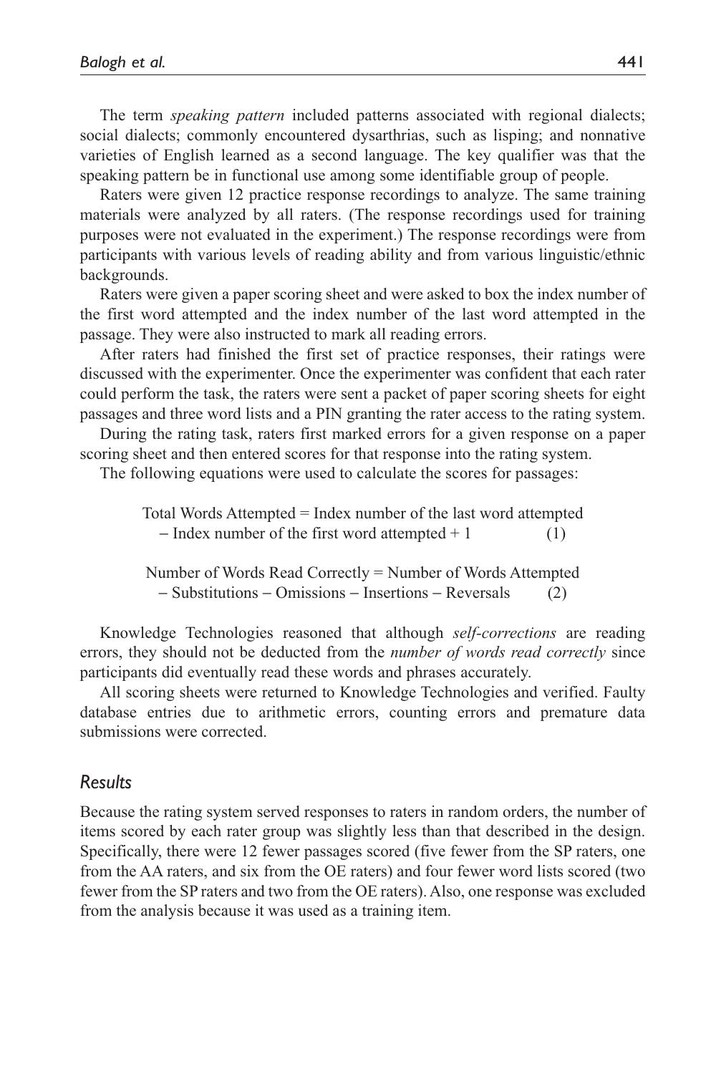Raters were given 12 practice response recordings to analyze. The same training materials were analyzed by all raters. (The response recordings used for training purposes were not evaluated in the experiment.) The response recordings were from participants with various levels of reading ability and from various linguistic/ethnic backgrounds.

Raters were given a paper scoring sheet and were asked to box the index number of the first word attempted and the index number of the last word attempted in the passage. They were also instructed to mark all reading errors.

After raters had finished the first set of practice responses, their ratings were discussed with the experimenter. Once the experimenter was confident that each rater could perform the task, the raters were sent a packet of paper scoring sheets for eight passages and three word lists and a PIN granting the rater access to the rating system.

During the rating task, raters first marked errors for a given response on a paper scoring sheet and then entered scores for that response into the rating system.

The following equations were used to calculate the scores for passages:

Total Words Attempted = Index number of the last word attempted  $-$  Index number of the first word attempted  $+1$  (1)

Number of Words Read Correctly = Number of Words Attempted - Substitutions - Omissions - Insertions - Reversals (2)

Knowledge Technologies reasoned that although *self-corrections* are reading errors, they should not be deducted from the *number of words read correctly* since participants did eventually read these words and phrases accurately.

All scoring sheets were returned to Knowledge Technologies and verified. Faulty database entries due to arithmetic errors, counting errors and premature data submissions were corrected.

### *Results*

Because the rating system served responses to raters in random orders, the number of items scored by each rater group was slightly less than that described in the design. Specifically, there were 12 fewer passages scored (five fewer from the SP raters, one from the AA raters, and six from the OE raters) and four fewer word lists scored (two fewer from the SP raters and two from the OE raters). Also, one response was excluded from the analysis because it was used as a training item.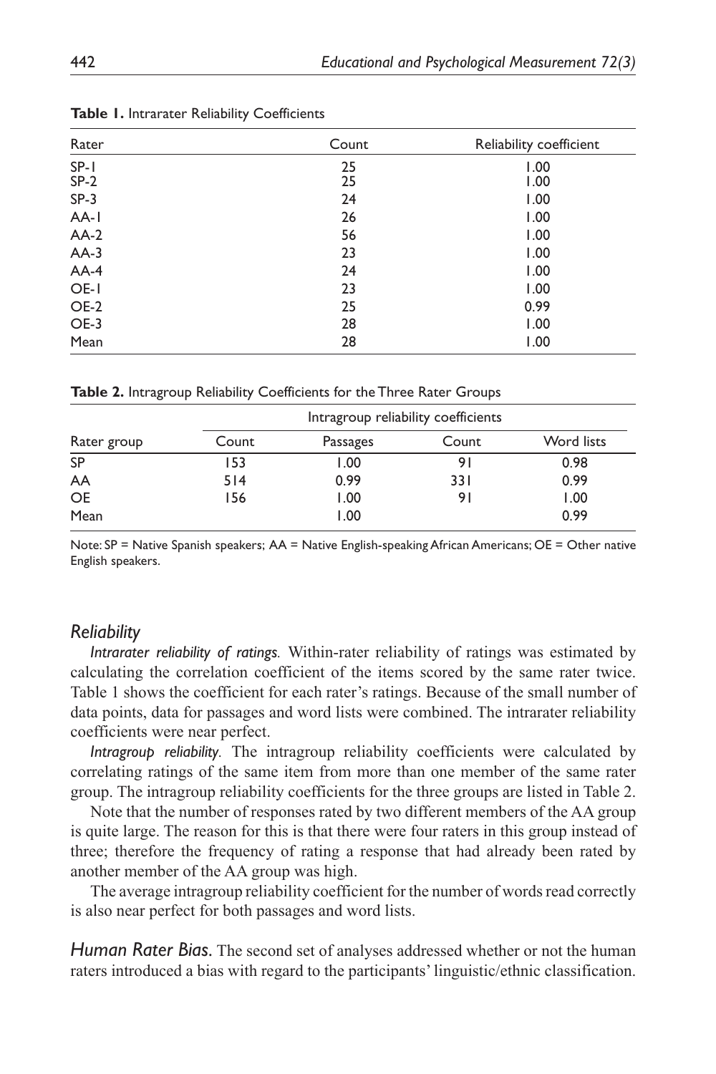| Rater  | Count | Reliability coefficient |
|--------|-------|-------------------------|
| $SP-1$ | 25    | 1.00                    |
| $SP-2$ | 25    | 1.00                    |
| $SP-3$ | 24    | 1.00                    |
| AA-I   | 26    | 1.00                    |
| $AA-2$ | 56    | 1.00                    |
| $AA-3$ | 23    | 1.00                    |
| $AA-4$ | 24    | 1.00                    |
| OE-I   | 23    | 1.00                    |
| OE-2   | 25    | 0.99                    |
| OE-3   | 28    | 1.00                    |
| Mean   | 28    | 1.00                    |

**Table 1.** Intrarater Reliability Coefficients

**Table 2.** Intragroup Reliability Coefficients for the Three Rater Groups

|             |       | Intragroup reliability coefficients |       |            |  |
|-------------|-------|-------------------------------------|-------|------------|--|
| Rater group | Count | Passages                            | Count | Word lists |  |
| <b>SP</b>   | 153   | 1.00                                | 91    | 0.98       |  |
| AA          | 514   | 0.99                                | 33 I  | 0.99       |  |
| <b>OE</b>   | 156   | 1.00                                | 91    | 1.00       |  |
| Mean        |       | 1.00                                |       | 0.99       |  |

Note: SP = Native Spanish speakers; AA = Native English-speaking African Americans; OE = Other native English speakers.

#### *Reliability*

*Intrarater reliability of ratings.* Within-rater reliability of ratings was estimated by calculating the correlation coefficient of the items scored by the same rater twice. Table 1 shows the coefficient for each rater's ratings. Because of the small number of data points, data for passages and word lists were combined. The intrarater reliability coefficients were near perfect.

*Intragroup reliability.* The intragroup reliability coefficients were calculated by correlating ratings of the same item from more than one member of the same rater group. The intragroup reliability coefficients for the three groups are listed in Table 2.

Note that the number of responses rated by two different members of the AA group is quite large. The reason for this is that there were four raters in this group instead of three; therefore the frequency of rating a response that had already been rated by another member of the AA group was high.

The average intragroup reliability coefficient for the number of words read correctly is also near perfect for both passages and word lists.

*Human Rater Bias.* The second set of analyses addressed whether or not the human raters introduced a bias with regard to the participants' linguistic/ethnic classification.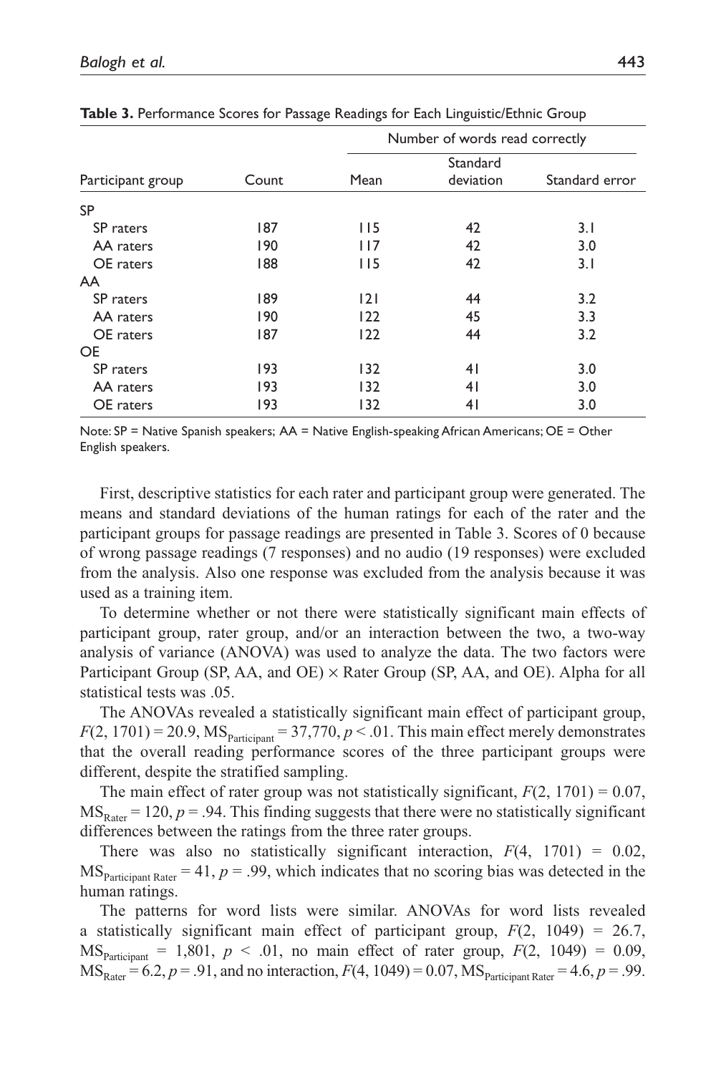|                   |       | Number of words read correctly |                |                |
|-------------------|-------|--------------------------------|----------------|----------------|
|                   |       |                                | Standard       |                |
| Participant group | Count | Mean                           | deviation      | Standard error |
| <b>SP</b>         |       |                                |                |                |
| SP raters         | 187   | 115                            | 42             | 3.1            |
| AA raters         | 190   | 117                            | 42             | 3.0            |
| OE raters         | 188   | 115                            | 42             | 3.1            |
| AA                |       |                                |                |                |
| SP raters         | 189   | 2                              | 44             | 3.2            |
| AA raters         | 190   | 122                            | 45             | 3.3            |
| OE raters         | 187   | 122                            | 44             | 3.2            |
| <b>OE</b>         |       |                                |                |                |
| SP raters         | 193   | 132                            | 41             | 3.0            |
| AA raters         | 193   | 132                            | 4 <sub>1</sub> | 3.0            |
| OE raters         | 193   | 132                            | 4 <sub>1</sub> | 3.0            |

**Table 3.** Performance Scores for Passage Readings for Each Linguistic/Ethnic Group

Note: SP = Native Spanish speakers; AA = Native English-speaking African Americans; OE = Other English speakers.

First, descriptive statistics for each rater and participant group were generated. The means and standard deviations of the human ratings for each of the rater and the participant groups for passage readings are presented in Table 3. Scores of 0 because of wrong passage readings (7 responses) and no audio (19 responses) were excluded from the analysis. Also one response was excluded from the analysis because it was used as a training item.

To determine whether or not there were statistically significant main effects of participant group, rater group, and/or an interaction between the two, a two-way analysis of variance (ANOVA) was used to analyze the data. The two factors were Participant Group (SP, AA, and OE) × Rater Group (SP, AA, and OE). Alpha for all statistical tests was .05.

The ANOVAs revealed a statistically significant main effect of participant group,  $F(2, 1701) = 20.9$ ,  $MS<sub>Particinant</sub> = 37,770$ ,  $p < .01$ . This main effect merely demonstrates that the overall reading performance scores of the three participant groups were different, despite the stratified sampling.

The main effect of rater group was not statistically significant,  $F(2, 1701) = 0.07$ ,  $MS<sub>Rater</sub> = 120, p = .94$ . This finding suggests that there were no statistically significant differences between the ratings from the three rater groups.

There was also no statistically significant interaction,  $F(4, 1701) = 0.02$ ,  $MS<sub>Particinant Rater</sub> = 41, p = .99$ , which indicates that no scoring bias was detected in the human ratings.

The patterns for word lists were similar. ANOVAs for word lists revealed a statistically significant main effect of participant group, *F*(2, 1049) = 26.7,  $MS_{\text{Particinant}} = 1,801, p \le .01$ , no main effect of rater group,  $F(2, 1049) = 0.09$ ,  $MS<sub>Rater</sub> = 6.2, p = .91, and no interaction, F(4, 1049) = 0.07, MS<sub>Particinant Rater</sub> = 4.6, p = .99.$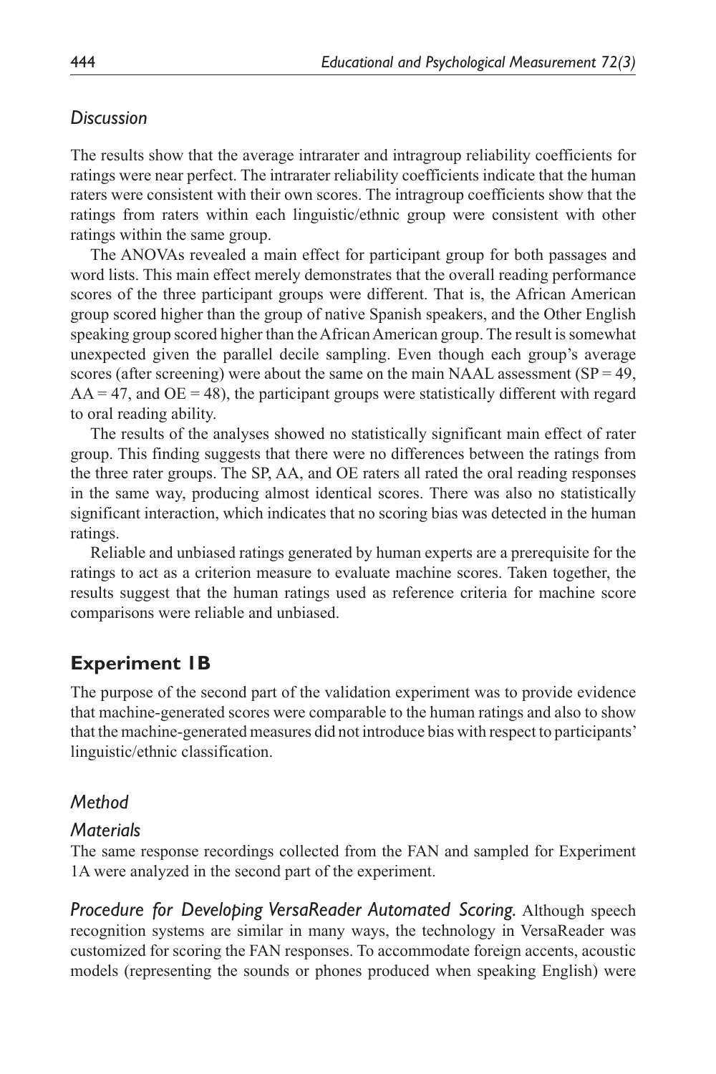## *Discussion*

The results show that the average intrarater and intragroup reliability coefficients for ratings were near perfect. The intrarater reliability coefficients indicate that the human raters were consistent with their own scores. The intragroup coefficients show that the ratings from raters within each linguistic/ethnic group were consistent with other ratings within the same group.

The ANOVAs revealed a main effect for participant group for both passages and word lists. This main effect merely demonstrates that the overall reading performance scores of the three participant groups were different. That is, the African American group scored higher than the group of native Spanish speakers, and the Other English speaking group scored higher than the African American group. The result is somewhat unexpected given the parallel decile sampling. Even though each group's average scores (after screening) were about the same on the main NAAL assessment ( $SP = 49$ ,  $AA = 47$ , and  $OE = 48$ ), the participant groups were statistically different with regard to oral reading ability.

The results of the analyses showed no statistically significant main effect of rater group. This finding suggests that there were no differences between the ratings from the three rater groups. The SP, AA, and OE raters all rated the oral reading responses in the same way, producing almost identical scores. There was also no statistically significant interaction, which indicates that no scoring bias was detected in the human ratings.

Reliable and unbiased ratings generated by human experts are a prerequisite for the ratings to act as a criterion measure to evaluate machine scores. Taken together, the results suggest that the human ratings used as reference criteria for machine score comparisons were reliable and unbiased.

# **Experiment 1B**

The purpose of the second part of the validation experiment was to provide evidence that machine-generated scores were comparable to the human ratings and also to show that the machine-generated measures did not introduce bias with respect to participants' linguistic/ethnic classification.

## *Method*

## *Materials*

The same response recordings collected from the FAN and sampled for Experiment 1A were analyzed in the second part of the experiment.

*Procedure for Developing VersaReader Automated Scoring.* Although speech recognition systems are similar in many ways, the technology in VersaReader was customized for scoring the FAN responses. To accommodate foreign accents, acoustic models (representing the sounds or phones produced when speaking English) were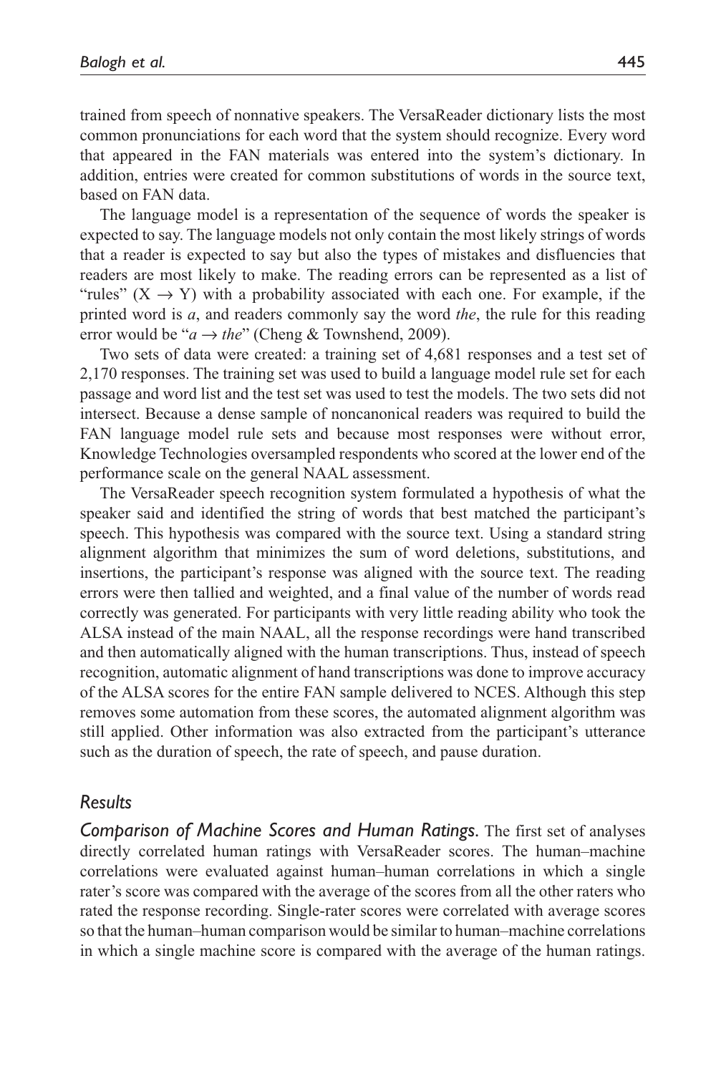trained from speech of nonnative speakers. The VersaReader dictionary lists the most common pronunciations for each word that the system should recognize. Every word that appeared in the FAN materials was entered into the system's dictionary. In addition, entries were created for common substitutions of words in the source text, based on FAN data.

The language model is a representation of the sequence of words the speaker is expected to say. The language models not only contain the most likely strings of words that a reader is expected to say but also the types of mistakes and disfluencies that readers are most likely to make. The reading errors can be represented as a list of "rules"  $(X \rightarrow Y)$  with a probability associated with each one. For example, if the printed word is *a*, and readers commonly say the word *the*, the rule for this reading error would be " $a \rightarrow the$ " (Cheng & Townshend, 2009).

Two sets of data were created: a training set of 4,681 responses and a test set of 2,170 responses. The training set was used to build a language model rule set for each passage and word list and the test set was used to test the models. The two sets did not intersect. Because a dense sample of noncanonical readers was required to build the FAN language model rule sets and because most responses were without error, Knowledge Technologies oversampled respondents who scored at the lower end of the performance scale on the general NAAL assessment.

The VersaReader speech recognition system formulated a hypothesis of what the speaker said and identified the string of words that best matched the participant's speech. This hypothesis was compared with the source text. Using a standard string alignment algorithm that minimizes the sum of word deletions, substitutions, and insertions, the participant's response was aligned with the source text. The reading errors were then tallied and weighted, and a final value of the number of words read correctly was generated. For participants with very little reading ability who took the ALSA instead of the main NAAL, all the response recordings were hand transcribed and then automatically aligned with the human transcriptions. Thus, instead of speech recognition, automatic alignment of hand transcriptions was done to improve accuracy of the ALSA scores for the entire FAN sample delivered to NCES. Although this step removes some automation from these scores, the automated alignment algorithm was still applied. Other information was also extracted from the participant's utterance such as the duration of speech, the rate of speech, and pause duration.

#### *Results*

*Comparison of Machine Scores and Human Ratings.* The first set of analyses directly correlated human ratings with VersaReader scores. The human–machine correlations were evaluated against human–human correlations in which a single rater's score was compared with the average of the scores from all the other raters who rated the response recording. Single-rater scores were correlated with average scores so that the human–human comparison would be similar to human–machine correlations in which a single machine score is compared with the average of the human ratings.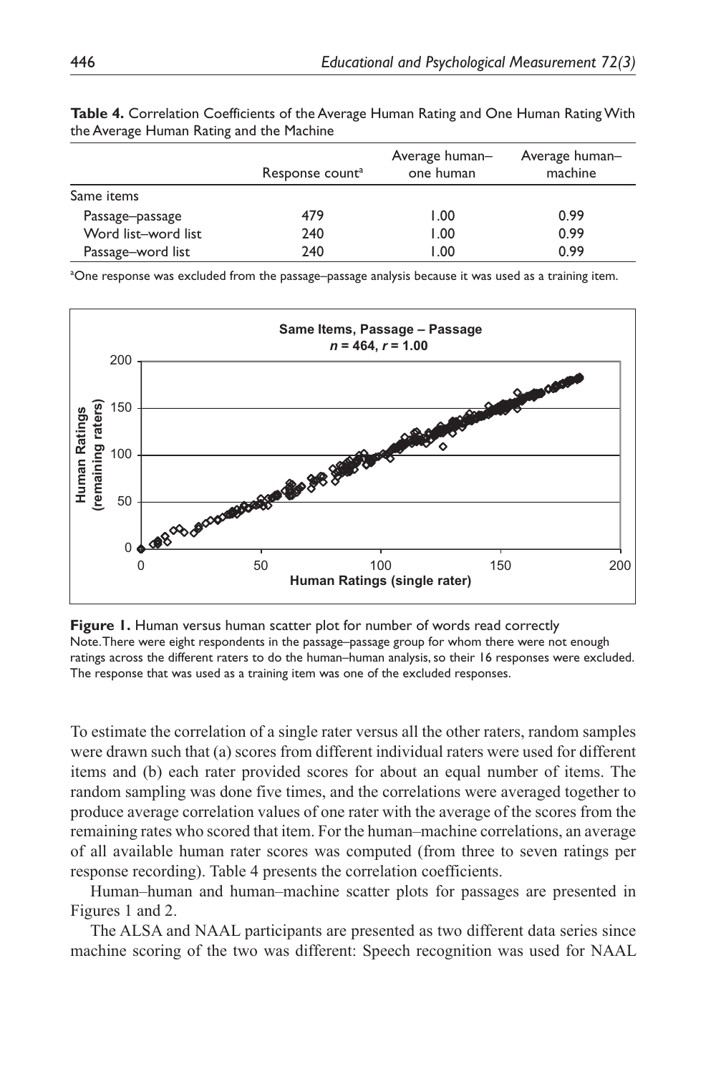|                     | Response count <sup>a</sup> | Average human-<br>one human | Average human-<br>machine |
|---------------------|-----------------------------|-----------------------------|---------------------------|
| Same items          |                             |                             |                           |
| Passage-passage     | 479                         | 1.00                        | 0.99                      |
| Word list-word list | 240                         | 00.1                        | 0.99                      |
| Passage-word list   | 240                         | 1.00                        | 0.99                      |

**Table 4.** Correlation Coefficients of the Average Human Rating and One Human Rating With the Average Human Rating and the Machine

<sup>a</sup>One response was excluded from the passage–passage analysis because it was used as a training item.



**Figure 1.** Human versus human scatter plot for number of words read correctly Note. There were eight respondents in the passage–passage group for whom there were not enough ratings across the different raters to do the human–human analysis, so their 16 responses were excluded. The response that was used as a training item was one of the excluded responses.

To estimate the correlation of a single rater versus all the other raters, random samples were drawn such that (a) scores from different individual raters were used for different items and (b) each rater provided scores for about an equal number of items. The random sampling was done five times, and the correlations were averaged together to produce average correlation values of one rater with the average of the scores from the remaining rates who scored that item. For the human–machine correlations, an average of all available human rater scores was computed (from three to seven ratings per response recording). Table 4 presents the correlation coefficients.

Human–human and human–machine scatter plots for passages are presented in Figures 1 and 2.

The ALSA and NAAL participants are presented as two different data series since machine scoring of the two was different: Speech recognition was used for NAAL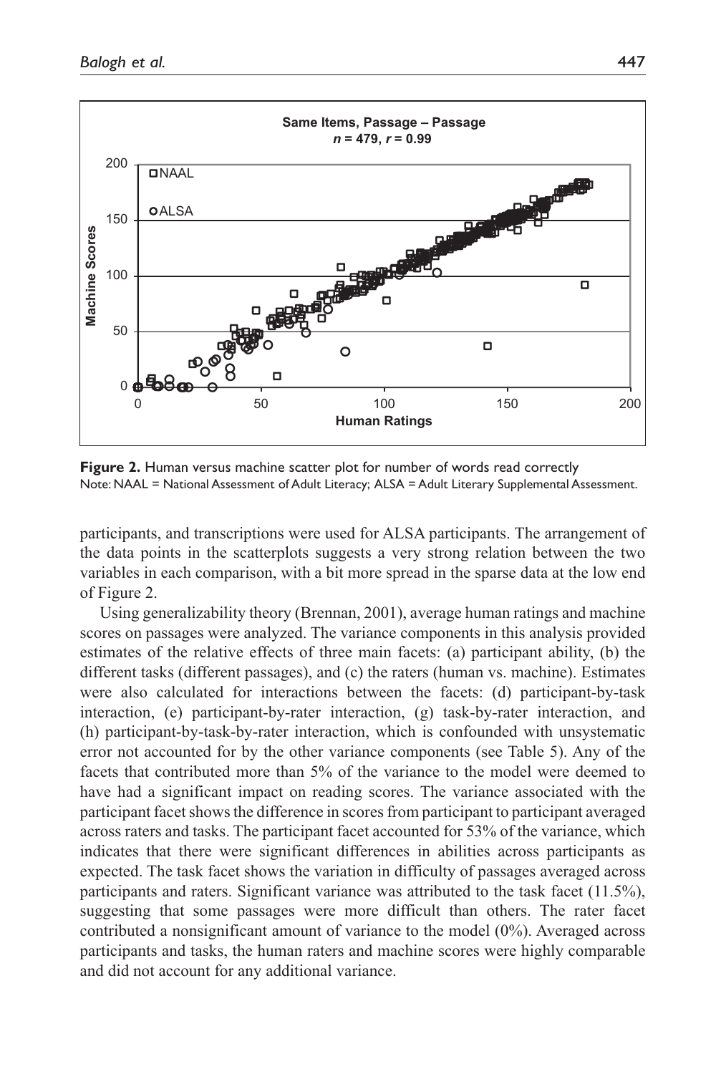

**Figure 2.** Human versus machine scatter plot for number of words read correctly Note: NAAL = National Assessment of Adult Literacy; ALSA = Adult Literary Supplemental Assessment.

participants, and transcriptions were used for ALSA participants. The arrangement of the data points in the scatterplots suggests a very strong relation between the two variables in each comparison, with a bit more spread in the sparse data at the low end of Figure 2.

Using generalizability theory (Brennan, 2001), average human ratings and machine scores on passages were analyzed. The variance components in this analysis provided estimates of the relative effects of three main facets: (a) participant ability, (b) the different tasks (different passages), and (c) the raters (human vs. machine). Estimates were also calculated for interactions between the facets: (d) participant-by-task interaction, (e) participant-by-rater interaction, (g) task-by-rater interaction, and (h) participant-by-task-by-rater interaction, which is confounded with unsystematic error not accounted for by the other variance components (see Table 5). Any of the facets that contributed more than 5% of the variance to the model were deemed to have had a significant impact on reading scores. The variance associated with the participant facet shows the difference in scores from participant to participant averaged across raters and tasks. The participant facet accounted for 53% of the variance, which indicates that there were significant differences in abilities across participants as expected. The task facet shows the variation in difficulty of passages averaged across participants and raters. Significant variance was attributed to the task facet  $(11.5\%)$ , suggesting that some passages were more difficult than others. The rater facet contributed a nonsignificant amount of variance to the model (0%). Averaged across participants and tasks, the human raters and machine scores were highly comparable and did not account for any additional variance.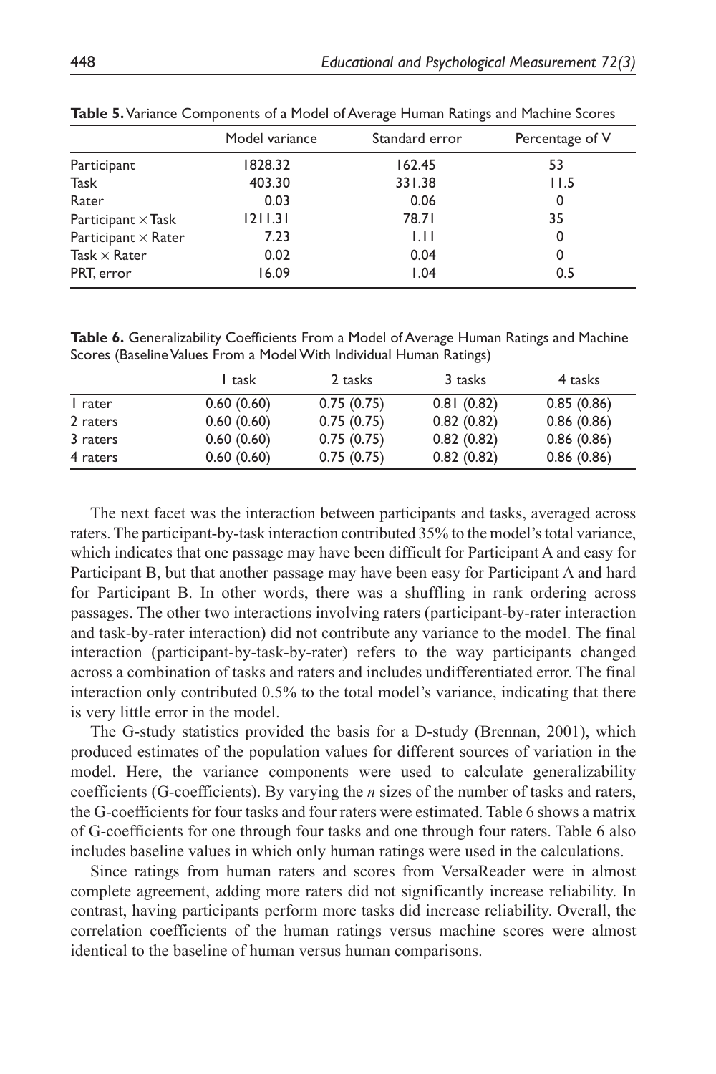|                            | Model variance | Standard error | Percentage of V |
|----------------------------|----------------|----------------|-----------------|
| Participant                | 1828.32        | 162.45         | 53              |
| Task                       | 403.30         | 331.38         | 11.5            |
| Rater                      | 0.03           | 0.06           | 0               |
| Participant $\times$ Task  | 1211.31        | 78.71          | 35              |
| Participant $\times$ Rater | 7.23           | 1.11           | 0               |
| Task $\times$ Rater        | 0.02           | 0.04           | 0               |
| PRT, error                 | 16.09          | 1.04           | 0.5             |

**Table 5.** Variance Components of a Model of Average Human Ratings and Machine Scores

**Table 6.** Generalizability Coefficients From a Model of Average Human Ratings and Machine Scores (Baseline Values From a Model With Individual Human Ratings)

|          | l task     | 2 tasks    | 3 tasks    | 4 tasks    |
|----------|------------|------------|------------|------------|
| I rater  | 0.60(0.60) | 0.75(0.75) | 0.81(0.82) | 0.85(0.86) |
| 2 raters | 0.60(0.60) | 0.75(0.75) | 0.82(0.82) | 0.86(0.86) |
| 3 raters | 0.60(0.60) | 0.75(0.75) | 0.82(0.82) | 0.86(0.86) |
| 4 raters | 0.60(0.60) | 0.75(0.75) | 0.82(0.82) | 0.86(0.86) |

The next facet was the interaction between participants and tasks, averaged across raters. The participant-by-task interaction contributed 35% to the model's total variance, which indicates that one passage may have been difficult for Participant A and easy for Participant B, but that another passage may have been easy for Participant A and hard for Participant B. In other words, there was a shuffling in rank ordering across passages. The other two interactions involving raters (participant-by-rater interaction and task-by-rater interaction) did not contribute any variance to the model. The final interaction (participant-by-task-by-rater) refers to the way participants changed across a combination of tasks and raters and includes undifferentiated error. The final interaction only contributed 0.5% to the total model's variance, indicating that there is very little error in the model.

The G-study statistics provided the basis for a D-study (Brennan, 2001), which produced estimates of the population values for different sources of variation in the model. Here, the variance components were used to calculate generalizability coefficients (G-coefficients). By varying the *n* sizes of the number of tasks and raters, the G-coefficients for four tasks and four raters were estimated. Table 6 shows a matrix of G-coefficients for one through four tasks and one through four raters. Table 6 also includes baseline values in which only human ratings were used in the calculations.

Since ratings from human raters and scores from VersaReader were in almost complete agreement, adding more raters did not significantly increase reliability. In contrast, having participants perform more tasks did increase reliability. Overall, the correlation coefficients of the human ratings versus machine scores were almost identical to the baseline of human versus human comparisons.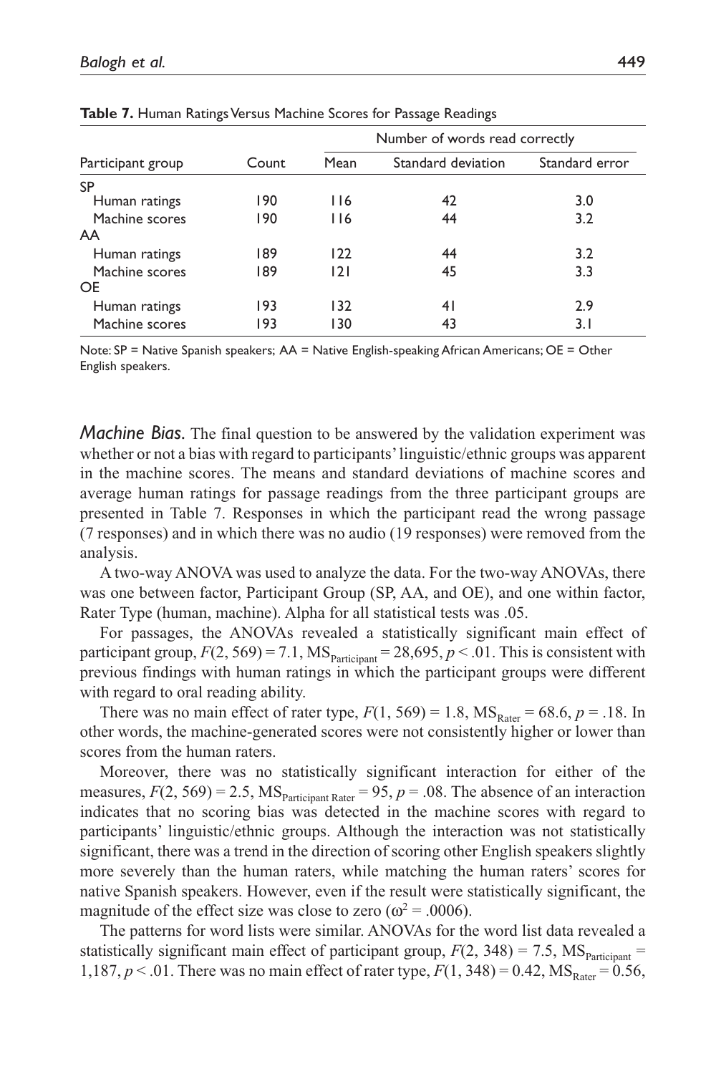| ິ     |                                | ັ<br>ັ             |                |  |  |
|-------|--------------------------------|--------------------|----------------|--|--|
|       | Number of words read correctly |                    |                |  |  |
| Count | Mean                           | Standard deviation | Standard error |  |  |
|       |                                |                    |                |  |  |
| 190   | 116                            | 42                 | 3.0            |  |  |
| 190   | <b>116</b>                     | 44                 | 3.2            |  |  |
|       |                                |                    |                |  |  |
| 189   | 122                            | 44                 | 3.2            |  |  |
| 189   | 2                              | 45                 | 3.3            |  |  |
|       |                                |                    |                |  |  |
| 193   | 132                            | 41                 | 2.9            |  |  |
| 193   | 130                            | 43                 | 3. I           |  |  |
|       |                                |                    |                |  |  |

**Table 7.** Human Ratings Versus Machine Scores for Passage Readings

Note: SP = Native Spanish speakers; AA = Native English-speaking African Americans; OE = Other English speakers.

*Machine Bias.* The final question to be answered by the validation experiment was whether or not a bias with regard to participants' linguistic/ethnic groups was apparent in the machine scores. The means and standard deviations of machine scores and average human ratings for passage readings from the three participant groups are presented in Table 7. Responses in which the participant read the wrong passage (7 responses) and in which there was no audio (19 responses) were removed from the analysis.

A two-way ANOVA was used to analyze the data. For the two-way ANOVAs, there was one between factor, Participant Group (SP, AA, and OE), and one within factor, Rater Type (human, machine). Alpha for all statistical tests was .05.

For passages, the ANOVAs revealed a statistically significant main effect of participant group,  $F(2, 569) = 7.1$ ,  $MS_{\text{Participant}} = 28,695$ ,  $p < .01$ . This is consistent with previous findings with human ratings in which the participant groups were different with regard to oral reading ability.

There was no main effect of rater type,  $F(1, 569) = 1.8$ ,  $MS<sub>Rater</sub> = 68.6$ ,  $p = .18$ . In other words, the machine-generated scores were not consistently higher or lower than scores from the human raters.

Moreover, there was no statistically significant interaction for either of the measures,  $F(2, 569) = 2.5$ ,  $MS<sub>Particinant Rater</sub> = 95$ ,  $p = .08$ . The absence of an interaction indicates that no scoring bias was detected in the machine scores with regard to participants' linguistic/ethnic groups. Although the interaction was not statistically significant, there was a trend in the direction of scoring other English speakers slightly more severely than the human raters, while matching the human raters' scores for native Spanish speakers. However, even if the result were statistically significant, the magnitude of the effect size was close to zero ( $\omega^2$  = .0006).

The patterns for word lists were similar. ANOVAs for the word list data revealed a statistically significant main effect of participant group,  $F(2, 348) = 7.5$ ,  $MS<sub>Particinant</sub>$ 1,187,  $p < 0.01$ . There was no main effect of rater type,  $F(1, 348) = 0.42$ ,  $MS_{\text{Rater}} = 0.56$ ,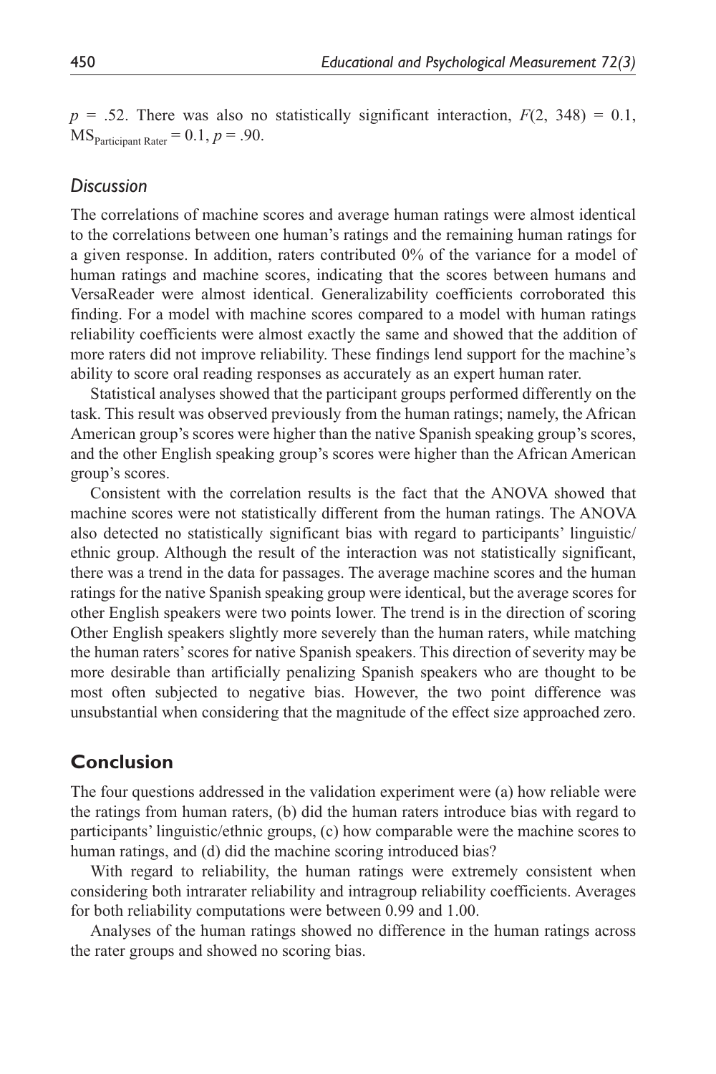$p = .52$ . There was also no statistically significant interaction,  $F(2, 348) = 0.1$ ,  $MS<sub>Participant Rater</sub> = 0.1, p = .90.$ 

## *Discussion*

The correlations of machine scores and average human ratings were almost identical to the correlations between one human's ratings and the remaining human ratings for a given response. In addition, raters contributed 0% of the variance for a model of human ratings and machine scores, indicating that the scores between humans and VersaReader were almost identical. Generalizability coefficients corroborated this finding. For a model with machine scores compared to a model with human ratings reliability coefficients were almost exactly the same and showed that the addition of more raters did not improve reliability. These findings lend support for the machine's ability to score oral reading responses as accurately as an expert human rater.

Statistical analyses showed that the participant groups performed differently on the task. This result was observed previously from the human ratings; namely, the African American group's scores were higher than the native Spanish speaking group's scores, and the other English speaking group's scores were higher than the African American group's scores.

Consistent with the correlation results is the fact that the ANOVA showed that machine scores were not statistically different from the human ratings. The ANOVA also detected no statistically significant bias with regard to participants' linguistic/ ethnic group. Although the result of the interaction was not statistically significant, there was a trend in the data for passages. The average machine scores and the human ratings for the native Spanish speaking group were identical, but the average scores for other English speakers were two points lower. The trend is in the direction of scoring Other English speakers slightly more severely than the human raters, while matching the human raters' scores for native Spanish speakers. This direction of severity may be more desirable than artificially penalizing Spanish speakers who are thought to be most often subjected to negative bias. However, the two point difference was unsubstantial when considering that the magnitude of the effect size approached zero.

## **Conclusion**

The four questions addressed in the validation experiment were (a) how reliable were the ratings from human raters, (b) did the human raters introduce bias with regard to participants' linguistic/ethnic groups, (c) how comparable were the machine scores to human ratings, and (d) did the machine scoring introduced bias?

With regard to reliability, the human ratings were extremely consistent when considering both intrarater reliability and intragroup reliability coefficients. Averages for both reliability computations were between 0.99 and 1.00.

Analyses of the human ratings showed no difference in the human ratings across the rater groups and showed no scoring bias.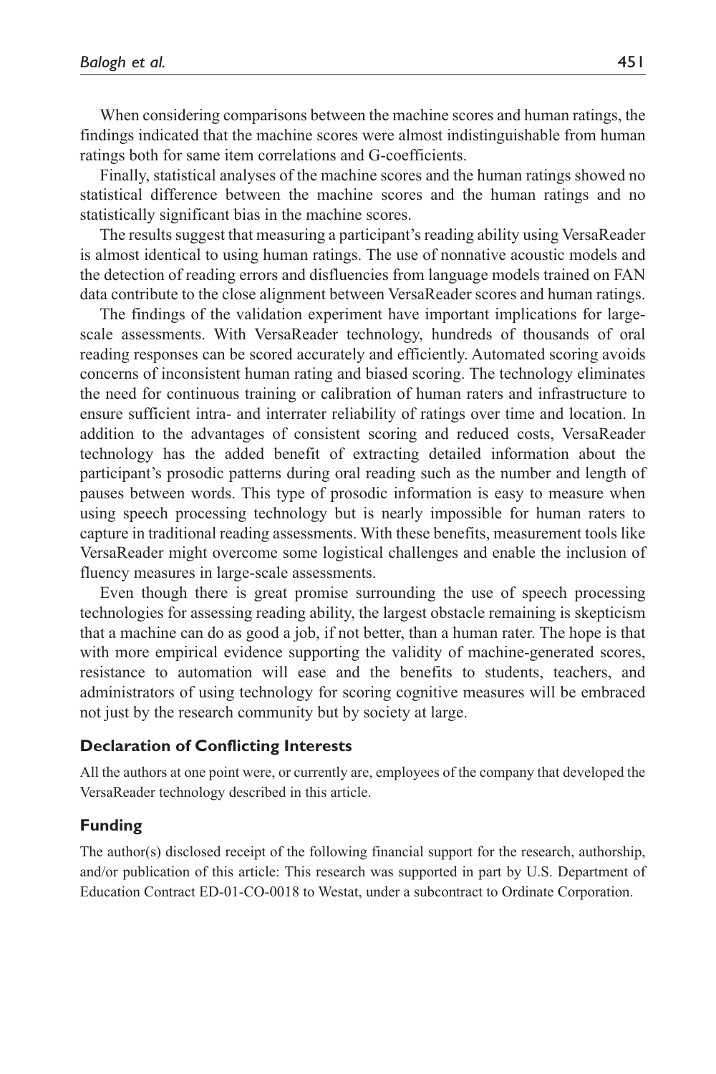When considering comparisons between the machine scores and human ratings, the findings indicated that the machine scores were almost indistinguishable from human ratings both for same item correlations and G-coefficients.

Finally, statistical analyses of the machine scores and the human ratings showed no statistical difference between the machine scores and the human ratings and no statistically significant bias in the machine scores.

The results suggest that measuring a participant's reading ability using VersaReader is almost identical to using human ratings. The use of nonnative acoustic models and the detection of reading errors and disfluencies from language models trained on FAN data contribute to the close alignment between VersaReader scores and human ratings.

The findings of the validation experiment have important implications for largescale assessments. With VersaReader technology, hundreds of thousands of oral reading responses can be scored accurately and efficiently. Automated scoring avoids concerns of inconsistent human rating and biased scoring. The technology eliminates the need for continuous training or calibration of human raters and infrastructure to ensure sufficient intra- and interrater reliability of ratings over time and location. In addition to the advantages of consistent scoring and reduced costs, VersaReader technology has the added benefit of extracting detailed information about the participant's prosodic patterns during oral reading such as the number and length of pauses between words. This type of prosodic information is easy to measure when using speech processing technology but is nearly impossible for human raters to capture in traditional reading assessments. With these benefits, measurement tools like VersaReader might overcome some logistical challenges and enable the inclusion of fluency measures in large-scale assessments.

Even though there is great promise surrounding the use of speech processing technologies for assessing reading ability, the largest obstacle remaining is skepticism that a machine can do as good a job, if not better, than a human rater. The hope is that with more empirical evidence supporting the validity of machine-generated scores, resistance to automation will ease and the benefits to students, teachers, and administrators of using technology for scoring cognitive measures will be embraced not just by the research community but by society at large.

#### **Declaration of Conflicting Interests**

All the authors at one point were, or currently are, employees of the company that developed the VersaReader technology described in this article.

#### **Funding**

The author(s) disclosed receipt of the following financial support for the research, authorship, and/or publication of this article: This research was supported in part by U.S. Department of Education Contract ED-01-CO-0018 to Westat, under a subcontract to Ordinate Corporation.